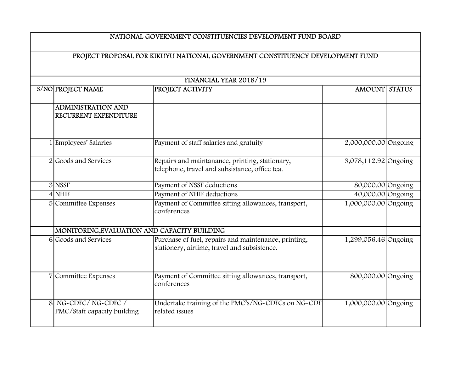## NATIONAL GOVERNMENT CONSTITUENCIES DEVELOPMENT FUND BOARD

## PROJECT PROPOSAL FOR KIKUYU NATIONAL GOVERNMENT CONSTITUENCY DEVELOPMENT FUND

| FINANCIAL YEAR 2018/19                             |                                                                                                      |                      |               |  |  |
|----------------------------------------------------|------------------------------------------------------------------------------------------------------|----------------------|---------------|--|--|
| S/NO PROJECT NAME                                  | PROJECT ACTIVITY                                                                                     | <b>AMOUNT</b>        | <b>STATUS</b> |  |  |
| <b>ADMINISTRATION AND</b><br>RECURRENT EXPENDITURE |                                                                                                      |                      |               |  |  |
| 1 Employees' Salaries                              | Payment of staff salaries and gratuity                                                               | 2,000,000.00 Ongoing |               |  |  |
| 2 Goods and Services                               | Repairs and maintanance, printing, stationary,<br>telephone, travel and subsistance, office tea.     | 3,078,112.92 Ongoing |               |  |  |
| $3$ NSSF                                           | Payment of NSSF deductions                                                                           | 80,000.00 Ongoing    |               |  |  |
| $4$ NHIF                                           | Payment of NHIF deductions                                                                           | 40,000.00 Ongoing    |               |  |  |
| 5 Committee Expenses                               | Payment of Committee sitting allowances, transport,<br>conferences                                   | 1,000,000.00 Ongoing |               |  |  |
| MONITORING, EVALUATION AND CAPACITY BUILDING       |                                                                                                      |                      |               |  |  |
| 6 Goods and Services                               | Purchase of fuel, repairs and maintenance, printing,<br>stationery, airtime, travel and subsistence. | 1,299,056.46 Ongoing |               |  |  |
| 7 Committee Expenses                               | Payment of Committee sitting allowances, transport,<br>conferences                                   | 800,000.00 Ongoing   |               |  |  |
| 8 NG-CDFC/NG-CDFC/<br>PMC/Staff capacity building  | Undertake training of the PMC's/NG-CDFCs on NG-CDF<br>related issues                                 | 1,000,000.00 Ongoing |               |  |  |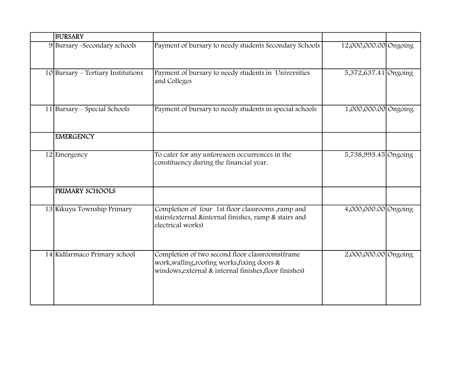| <b>BURSARY</b>                        |                                                                                                                                                            |                       |  |
|---------------------------------------|------------------------------------------------------------------------------------------------------------------------------------------------------------|-----------------------|--|
| 9 Bursary - Secondary schools         | Payment of bursary to needy students Secondary Schools                                                                                                     | 12,000,000.00 Ongoing |  |
| $10$  Bursary – Tertiary Institutions | Payment of bursary to needy students in Universities<br>and Colleges                                                                                       | 5,372,637.41 Ongoing  |  |
| $11$  Bursary – Special Schools       | Payment of bursary to needy students in special schools                                                                                                    | 1,000,000.00 Ongoing  |  |
| <b>EMERGENCY</b>                      |                                                                                                                                                            |                       |  |
| 12 Emergency                          | To cater for any unforeseen occurrences in the<br>constituency during the financial year.                                                                  | 5,738,993.45 Ongoing  |  |
| PRIMARY SCHOOLS                       |                                                                                                                                                            |                       |  |
| 13 Kikuyu Township Primary            | Completion of four 1st floor classrooms ,ramp and<br>stairs (external &internal finishes, ramp & stairs and<br>electrical works)                           | 4,000,000.00 Ongoing  |  |
| 14 Kidfarmaco Primary school          | Completion of two second floor classrooms (frame<br>work, walling, roofing works, fixing doors &<br>windows, external & internal finishes, floor finishes) | 2,000,000.00 Ongoing  |  |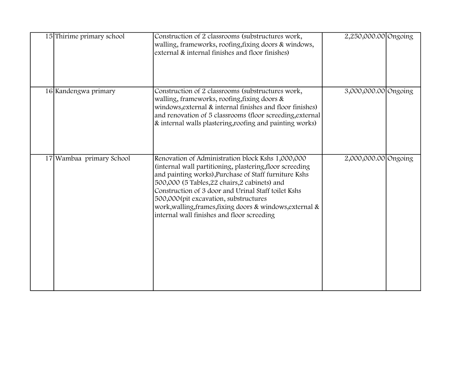| 15 Thirime primary school | Construction of 2 classrooms (substructures work,<br>walling, frameworks, roofing, fixing doors & windows,<br>external & internal finishes and floor finishes)                                                                                                                                                                                                                                                                     | 2,250,000.00 Ongoing |  |
|---------------------------|------------------------------------------------------------------------------------------------------------------------------------------------------------------------------------------------------------------------------------------------------------------------------------------------------------------------------------------------------------------------------------------------------------------------------------|----------------------|--|
| 16 Kandengwa primary      | Construction of 2 classrooms (substructures work,<br>walling, frameworks, roofing, fixing doors &<br>windows, external & internal finishes and floor finishes)<br>and renovation of 5 classrooms (floor screeding, external<br>& internal walls plastering, roofing and painting works)                                                                                                                                            | 3,000,000.00 Ongoing |  |
| 17 Wambaa primary School  | Renovation of Administration block Kshs 1,000,000<br>(internal wall partitioning, plastering, floor screeding<br>and painting works), Purchase of Staff furniture Kshs<br>500,000 (5 Tables, 22 chairs, 2 cabinets) and<br>Construction of 3 door and Urinal Staff toilet Kshs<br>500,000(pit excavation, substructures<br>work, walling, frames, fixing doors & windows, external &<br>internal wall finishes and floor screeding | 2,000,000.00 Ongoing |  |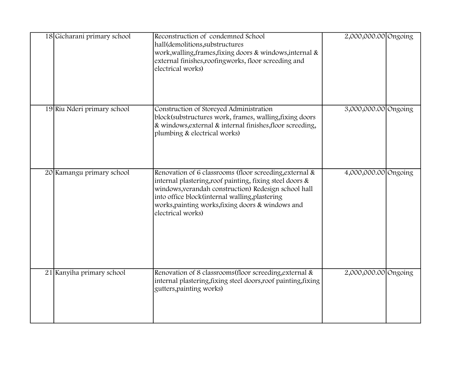| 18 Gicharani primary school | Reconstruction of condemned School<br>hall(demolitions, substructures<br>work, walling, frames, fixing doors & windows, internal &<br>external finishes, roofingworks, floor screeding and<br>electrical works)                                                                                         | 2,000,000.00 Ongoing |  |
|-----------------------------|---------------------------------------------------------------------------------------------------------------------------------------------------------------------------------------------------------------------------------------------------------------------------------------------------------|----------------------|--|
| 19 Riu Nderi primary school | Construction of Storeyed Administration<br>block(substructures work, frames, walling, fixing doors<br>& windows, external & internal finishes, floor screeding,<br>plumbing & electrical works)                                                                                                         | 3,000,000.00 Ongoing |  |
| 20 Kamangu primary school   | Renovation of 6 classrooms (floor screeding, external &<br>internal plastering, roof painting, fixing steel doors &<br>windows, verandah construction) Redesign school hall<br>into office block(internal walling, plastering<br>works, painting works, fixing doors & windows and<br>electrical works) | 4,000,000.00 Ongoing |  |
| 21 Kanyiha primary school   | Renovation of 8 classrooms (floor screeding, external &<br>internal plastering, fixing steel doors, roof painting, fixing<br>gutters, painting works)                                                                                                                                                   | 2,000,000.00 Ongoing |  |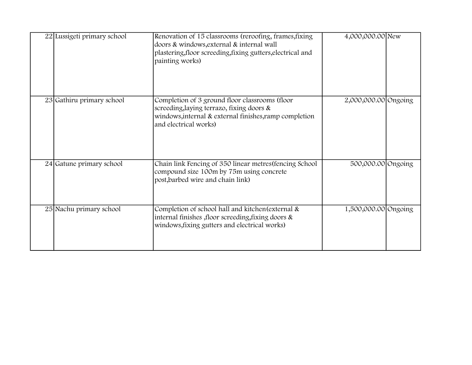| 22 Lussigeti primary school | Renovation of 15 classrooms (reroofing, frames, fixing<br>doors & windows, external & internal wall<br>plastering, floor screeding, fixing gutters, electrical and<br>painting works) | 4,000,000.00 New     |  |
|-----------------------------|---------------------------------------------------------------------------------------------------------------------------------------------------------------------------------------|----------------------|--|
| 23 Gathiru primary school   | Completion of 3 ground floor classrooms (floor<br>screeding, laying terrazo, fixing doors &<br>windows, internal & external finishes, ramp completion<br>and electrical works)        | 2,000,000.00 Ongoing |  |
| 24 Gatune primary school    | Chain link Fencing of 350 linear metres (fencing School<br>compound size 100m by 75m using concrete<br>post, barbed wire and chain link)                                              | 500,000.00 Ongoing   |  |
| 25 Nachu primary school     | Completion of school hall and kitchen (external &<br>internal finishes , floor screeding, fixing doors &<br>windows, fixing gutters and electrical works)                             | 1,500,000.00 Ongoing |  |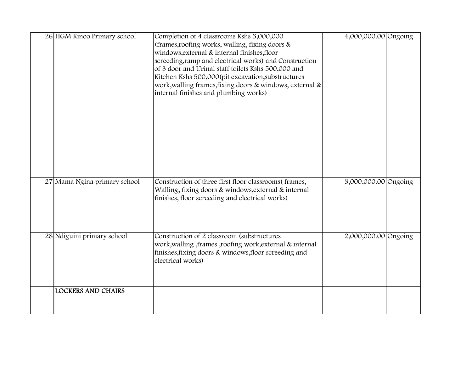| 26 HGM Kinoo Primary school  | Completion of 4 classrooms Kshs 3,000,000<br>(frames, roofing works, walling, fixing doors &<br>windows, external & internal finishes, floor<br>screeding, ramp and electrical works) and Construction<br>of 3 door and Urinal staff toilets Kshs 500,000 and<br>Kitchen Kshs 500,000(pit excavation, substructures<br>work, walling frames, fixing doors & windows, external &<br>internal finishes and plumbing works) | 4,000,000.00 Ongoing |
|------------------------------|--------------------------------------------------------------------------------------------------------------------------------------------------------------------------------------------------------------------------------------------------------------------------------------------------------------------------------------------------------------------------------------------------------------------------|----------------------|
| 27 Mama Ngina primary school | Construction of three first floor classrooms(frames,<br>Walling, fixing doors & windows, external & internal<br>finishes, floor screeding and electrical works)                                                                                                                                                                                                                                                          | 3,000,000.00 Ongoing |
| 28 Ndiguini primary school   | Construction of 2 classroom (substructures<br>work, walling, frames, roofing work, external & internal<br>finishes, fixing doors & windows, floor screeding and<br>electrical works)                                                                                                                                                                                                                                     | 2,000,000.00 Ongoing |
| <b>LOCKERS AND CHAIRS</b>    |                                                                                                                                                                                                                                                                                                                                                                                                                          |                      |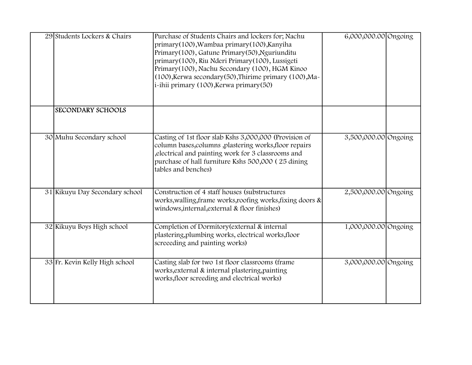| 29 Students Lockers & Chairs   | Purchase of Students Chairs and lockers for; Nachu<br>primary(100), Wambaa primary(100), Kanyiha<br>Primary(100), Gatune Primary(50), Nguriunditu<br>primary(100), Riu Nderi Primary(100), Lussigeti<br>Primary (100), Nachu Secondary (100), HGM Kinoo<br>(100), Kerwa secondary (50), Thirime primary (100), Ma-<br>i-ihii primary (100), Kerwa primary (50) | 6,000,000.00 Ongoing |  |
|--------------------------------|----------------------------------------------------------------------------------------------------------------------------------------------------------------------------------------------------------------------------------------------------------------------------------------------------------------------------------------------------------------|----------------------|--|
| <b>SECONDARY SCHOOLS</b>       |                                                                                                                                                                                                                                                                                                                                                                |                      |  |
| 30 Muhu Secondary school       | Casting of 1st floor slab Kshs 3,000,000 (Provision of<br>column bases, columns , plastering works, floor repairs<br>, electrical and painting work for 3 classrooms and<br>purchase of hall furniture Kshs 500,000 (25 dining<br>tables and benches)                                                                                                          | 3,500,000.00 Ongoing |  |
| 31 Kikuyu Day Secondary school | Construction of 4 staff houses (substructures<br>works, walling, frame works, roofing works, fixing doors &<br>windows, internal, external & floor finishes)                                                                                                                                                                                                   | 2,500,000.00 Ongoing |  |
| 32 Kikuyu Boys High school     | Completion of Dormitory (external & internal<br>plastering, plumbing works, electrical works, floor<br>screeeding and painting works)                                                                                                                                                                                                                          | 1,000,000.00 Ongoing |  |
| 33 Fr. Kevin Kelly High school | Casting slab for two 1st floor classrooms (frame<br>works, external & internal plastering, painting<br>works, floor screeding and electrical works)                                                                                                                                                                                                            | 3,000,000.00 Ongoing |  |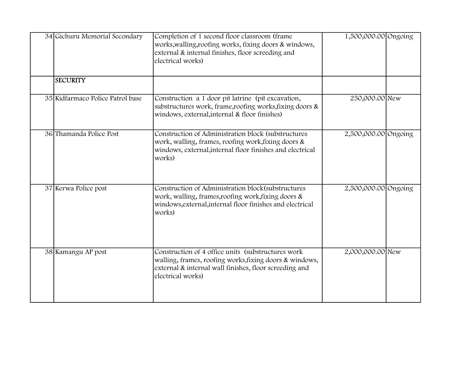| 34 Gichuru Memorial Secondary    | Completion of 1 second floor classroom (frame<br>works, walling, roofing works, fixing doors & windows,<br>external & internal finishes, floor screeding and<br>electrical works)             | 1,500,000.00 Ongoing |  |
|----------------------------------|-----------------------------------------------------------------------------------------------------------------------------------------------------------------------------------------------|----------------------|--|
| <b>SECURITY</b>                  |                                                                                                                                                                                               |                      |  |
| 35 Kidfarmaco Police Patrol base | Construction a 1 door pit latrine (pit excavation,<br>substructures work, frame, roofing works, fixing doors &<br>windows, external, internal & floor finishes)                               | 250,000.00 New       |  |
| 36 Thamanda Police Post          | Construction of Administration block (substructures<br>work, walling, frames, roofing work, fixing doors &<br>windows, external, internal floor finishes and electrical<br>works)             | 2,500,000.00 Ongoing |  |
| 37 Kerwa Police post             | Construction of Administration block(substructures<br>work, walling, frames, roofing work, fixing doors &<br>windows, external, internal floor finishes and electrical<br>works)              | 2,500,000.00 Ongoing |  |
| 38 Kamangu AP post               | Construction of 4 office units (substructures work)<br>walling, frames, roofing works, fixing doors & windows,<br>external & internal wall finishes, floor screeding and<br>electrical works) | 2,000,000.00 New     |  |